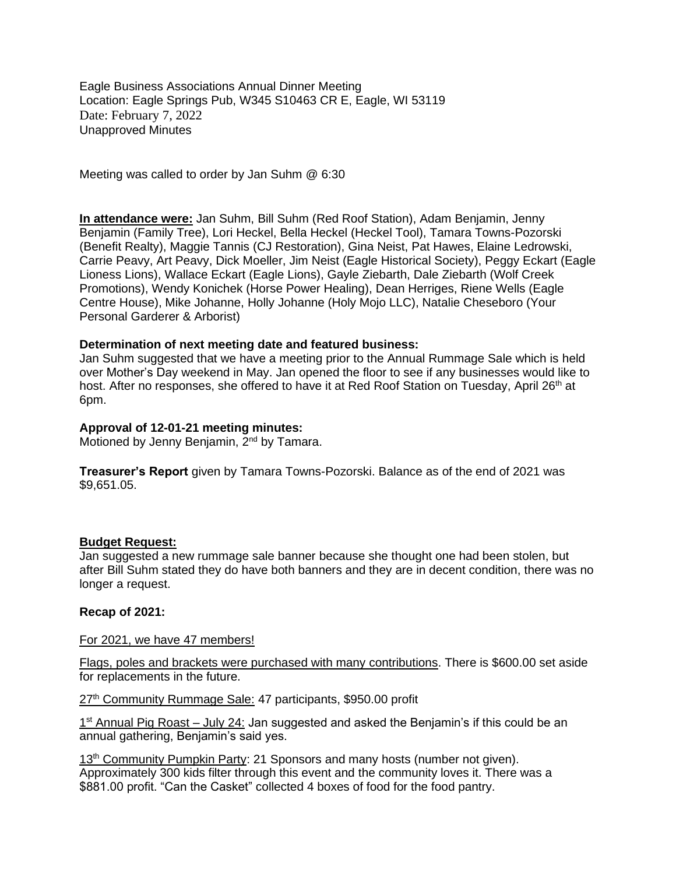Eagle Business Associations Annual Dinner Meeting Location: Eagle Springs Pub, W345 S10463 CR E, Eagle, WI 53119 Date: February 7, 2022 Unapproved Minutes

Meeting was called to order by Jan Suhm @ 6:30

**In attendance were:** Jan Suhm, Bill Suhm (Red Roof Station), Adam Benjamin, Jenny Benjamin (Family Tree), Lori Heckel, Bella Heckel (Heckel Tool), Tamara Towns-Pozorski (Benefit Realty), Maggie Tannis (CJ Restoration), Gina Neist, Pat Hawes, Elaine Ledrowski, Carrie Peavy, Art Peavy, Dick Moeller, Jim Neist (Eagle Historical Society), Peggy Eckart (Eagle Lioness Lions), Wallace Eckart (Eagle Lions), Gayle Ziebarth, Dale Ziebarth (Wolf Creek Promotions), Wendy Konichek (Horse Power Healing), Dean Herriges, Riene Wells (Eagle Centre House), Mike Johanne, Holly Johanne (Holy Mojo LLC), Natalie Cheseboro (Your Personal Garderer & Arborist)

## **Determination of next meeting date and featured business:**

Jan Suhm suggested that we have a meeting prior to the Annual Rummage Sale which is held over Mother's Day weekend in May. Jan opened the floor to see if any businesses would like to host. After no responses, she offered to have it at Red Roof Station on Tuesday, April 26<sup>th</sup> at 6pm.

# **Approval of 12-01-21 meeting minutes:**

Motioned by Jenny Benjamin, 2<sup>nd</sup> by Tamara.

**Treasurer's Report** given by Tamara Towns-Pozorski. Balance as of the end of 2021 was \$9,651.05.

### **Budget Request:**

Jan suggested a new rummage sale banner because she thought one had been stolen, but after Bill Suhm stated they do have both banners and they are in decent condition, there was no longer a request.

## **Recap of 2021:**

# For 2021, we have 47 members!

Flags, poles and brackets were purchased with many contributions. There is \$600.00 set aside for replacements in the future.

27<sup>th</sup> Community Rummage Sale: 47 participants, \$950.00 profit

1<sup>st</sup> Annual Pig Roast – July 24: Jan suggested and asked the Benjamin's if this could be an annual gathering, Benjamin's said yes.

13<sup>th</sup> Community Pumpkin Party: 21 Sponsors and many hosts (number not given). Approximately 300 kids filter through this event and the community loves it. There was a \$881.00 profit. "Can the Casket" collected 4 boxes of food for the food pantry.